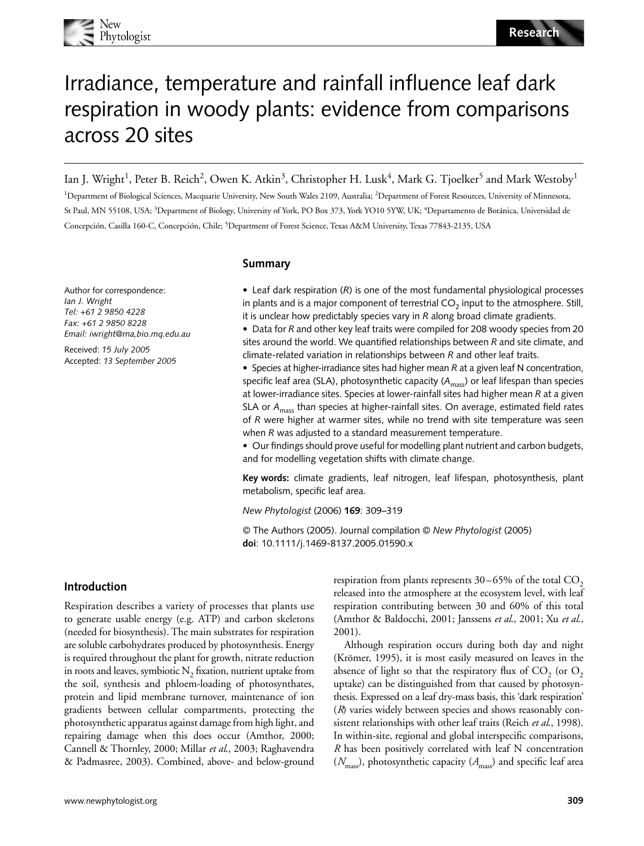

# Irradiance, temperature and rainfall influence leaf dark respiration in woody plants: evidence from comparisons across 20 sites

Ian J. Wright<sup>1</sup>, Peter B. Reich<sup>2</sup>, Owen K. Atkin<sup>3</sup>, Christopher H. Lusk<sup>4</sup>, Mark G. Tjoelker<sup>5</sup> and Mark Westoby<sup>1</sup>

<sup>1</sup>Department of Biological Sciences, Macquarie University, New South Wales 2109, Australia; <sup>2</sup>Department of Forest Resources, University of Minnesota, St Paul, MN 55108, USA; <sup>3</sup>Department of Biology, University of York, PO Box 373, York YO10 5YW, UK; <sup>4</sup>Departamento de Botánica, Universidad de Concepción, Casilla 160-C, Concepción, Chile; <sup>5</sup> Department of Forest Science, Texas A&M University, Texas 77843-2135, USA

**Summary**

Author for correspondence: *Ian J. Wright Tel: +61 2 9850 4228 Fax: +61 2 9850 8228 Email: iwright@rna,bio.mq.edu.au*

Received: *15 July 2005* Accepted: *13 September 2005* • Leaf dark respiration (*R*) is one of the most fundamental physiological processes in plants and is a major component of terrestrial  $CO<sub>2</sub>$  input to the atmosphere. Still, it is unclear how predictably species vary in *R* along broad climate gradients.

• Data for *R* and other key leaf traits were compiled for 208 woody species from 20 sites around the world. We quantified relationships between *R* and site climate, and climate-related variation in relationships between *R* and other leaf traits.

• Species at higher-irradiance sites had higher mean *R* at a given leaf N concentration, specific leaf area (SLA), photosynthetic capacity (A<sub>mass</sub>) or leaf lifespan than species at lower-irradiance sites. Species at lower-rainfall sites had higher mean *R* at a given SLA or A<sub>mass</sub> than species at higher-rainfall sites. On average, estimated field rates of *R* were higher at warmer sites, while no trend with site temperature was seen when *R* was adjusted to a standard measurement temperature.

• Our findings should prove useful for modelling plant nutrient and carbon budgets, and for modelling vegetation shifts with climate change.

**Key words:** climate gradients, leaf nitrogen, leaf lifespan, photosynthesis, plant metabolism, specific leaf area.

*New Phytologist* (2006) **169**: 309–319

© The Authors (2005). Journal compilation © *New Phytologist* (2005) **doi**: 10.1111/j.1469-8137.2005.01590.x

## **Introduction**

Respiration describes a variety of processes that plants use to generate usable energy (e.g. ATP) and carbon skeletons (needed for biosynthesis). The main substrates for respiration are soluble carbohydrates produced by photosynthesis. Energy is required throughout the plant for growth, nitrate reduction in roots and leaves, symbiotic  $N_2$  fixation, nutrient uptake from the soil, synthesis and phloem-loading of photosynthates, protein and lipid membrane turnover, maintenance of ion gradients between cellular compartments, protecting the photosynthetic apparatus against damage from high light, and repairing damage when this does occur (Amthor, 2000; Cannell & Thornley, 2000; Millar *et al*., 2003; Raghavendra & Padmasree, 2003). Combined, above- and below-ground respiration from plants represents  $30-65%$  of the total  $CO<sub>2</sub>$ released into the atmosphere at the ecosystem level, with leaf respiration contributing between 30 and 60% of this total (Amthor & Baldocchi, 2001; Janssens *et al*., 2001; Xu *et al*., 2001).

Although respiration occurs during both day and night (Krömer, 1995), it is most easily measured on leaves in the absence of light so that the respiratory flux of  $CO<sub>2</sub>$  (or  $O<sub>2</sub>$ ) uptake) can be distinguished from that caused by photosynthesis. Expressed on a leaf dry-mass basis, this 'dark respiration' (*R*) varies widely between species and shows reasonably consistent relationships with other leaf traits (Reich *et al*., 1998). In within-site, regional and global interspecific comparisons, *R* has been positively correlated with leaf N concentration  $(N<sub>mass</sub>)$ , photosynthetic capacity  $(A<sub>mass</sub>)$  and specific leaf area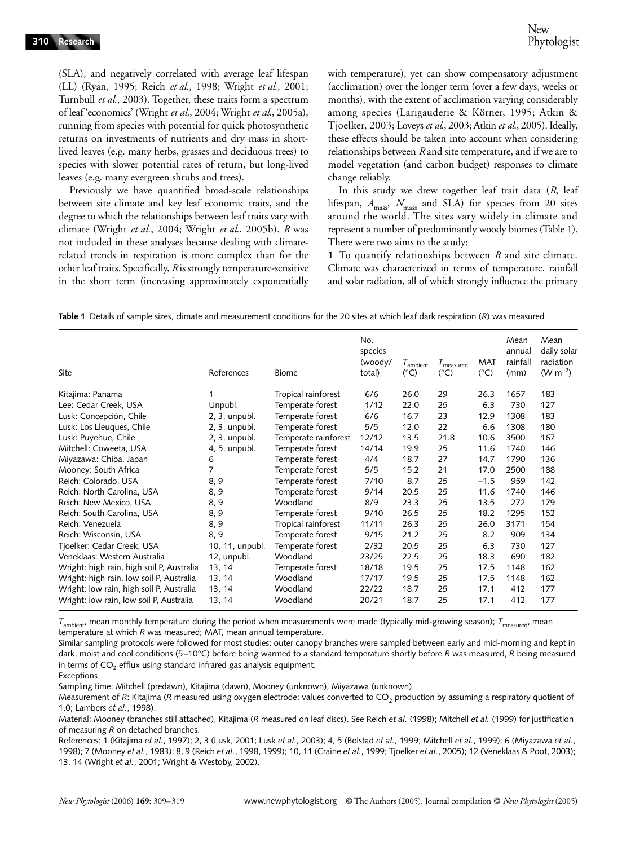(SLA), and negatively correlated with average leaf lifespan (LL) (Ryan, 1995; Reich *et al*., 1998; Wright *et al*., 2001; Turnbull *et al*., 2003). Together, these traits form a spectrum of leaf 'economics' (Wright *et al*., 2004; Wright *et al*., 2005a), running from species with potential for quick photosynthetic returns on investments of nutrients and dry mass in shortlived leaves (e.g. many herbs, grasses and deciduous trees) to species with slower potential rates of return, but long-lived leaves (e.g. many evergreen shrubs and trees).

Previously we have quantified broad-scale relationships between site climate and key leaf economic traits, and the degree to which the relationships between leaf traits vary with climate (Wright *et al*., 2004; Wright *et al*., 2005b). *R* was not included in these analyses because dealing with climaterelated trends in respiration is more complex than for the other leaf traits. Specifically, *R* is strongly temperature-sensitive in the short term (increasing approximately exponentially

with temperature), yet can show compensatory adjustment (acclimation) over the longer term (over a few days, weeks or months), with the extent of acclimation varying considerably among species (Larigauderie & Körner, 1995; Atkin & Tjoelker, 2003; Loveys *et al*., 2003; Atkin *et al*., 2005). Ideally, these effects should be taken into account when considering relationships between *R* and site temperature, and if we are to model vegetation (and carbon budget) responses to climate change reliably.

In this study we drew together leaf trait data (*R*, leaf lifespan,  $A_{\text{mass}}$ ,  $N_{\text{mass}}$  and SLA) for species from 20 sites around the world. The sites vary widely in climate and represent a number of predominantly woody biomes (Table 1). There were two aims to the study:

**1** To quantify relationships between *R* and site climate. Climate was characterized in terms of temperature, rainfall and solar radiation, all of which strongly influence the primary

**Table 1** Details of sample sizes, climate and measurement conditions for the 20 sites at which leaf dark respiration (*R*) was measured

| Site                                      | References       | Biome                | No.<br>species<br>(woody/<br>total) | I <sub>ambient</sub><br>$(^{\circ}C)$ | $I_{measured}$<br>$(^{\circ}C)$ | <b>MAT</b><br>$(^{\circ}C)$ | Mean<br>annual<br>rainfall<br>(mm) | Mean<br>daily solar<br>radiation<br>(W m <sup>-2</sup> ) |
|-------------------------------------------|------------------|----------------------|-------------------------------------|---------------------------------------|---------------------------------|-----------------------------|------------------------------------|----------------------------------------------------------|
|                                           |                  |                      |                                     |                                       |                                 |                             |                                    |                                                          |
| Kitajima: Panama                          |                  | Tropical rainforest  | 6/6                                 | 26.0                                  | 29                              | 26.3                        | 1657                               | 183                                                      |
| Lee: Cedar Creek, USA                     | Unpubl.          | Temperate forest     | 1/12                                | 22.0                                  | 25                              | 6.3                         | 730                                | 127                                                      |
| Lusk: Concepción, Chile                   | $2, 3$ , unpubl. | Temperate forest     | 6/6                                 | 16.7                                  | 23                              | 12.9                        | 1308                               | 183                                                      |
| Lusk: Los Lleuques, Chile                 | 2, 3, unpubl.    | Temperate forest     | 5/5                                 | 12.0                                  | 22                              | 6.6                         | 1308                               | 180                                                      |
| Lusk: Puyehue, Chile                      | 2, 3, unpubl.    | Temperate rainforest | 12/12                               | 13.5                                  | 21.8                            | 10.6                        | 3500                               | 167                                                      |
| Mitchell: Coweeta, USA                    | 4, 5, unpubl.    | Temperate forest     | 14/14                               | 19.9                                  | 25                              | 11.6                        | 1740                               | 146                                                      |
| Miyazawa: Chiba, Japan                    | 6                | Temperate forest     | 4/4                                 | 18.7                                  | 27                              | 14.7                        | 1790                               | 136                                                      |
| Mooney: South Africa                      | 7                | Temperate forest     | 5/5                                 | 15.2                                  | 21                              | 17.0                        | 2500                               | 188                                                      |
| Reich: Colorado, USA                      | 8, 9             | Temperate forest     | 7/10                                | 8.7                                   | 25                              | $-1.5$                      | 959                                | 142                                                      |
| Reich: North Carolina, USA                | 8, 9             | Temperate forest     | 9/14                                | 20.5                                  | 25                              | 11.6                        | 1740                               | 146                                                      |
| Reich: New Mexico, USA                    | 8, 9             | Woodland             | 8/9                                 | 23.3                                  | 25                              | 13.5                        | 272                                | 179                                                      |
| Reich: South Carolina, USA                | 8, 9             | Temperate forest     | 9/10                                | 26.5                                  | 25                              | 18.2                        | 1295                               | 152                                                      |
| Reich: Venezuela                          | 8, 9             | Tropical rainforest  | 11/11                               | 26.3                                  | 25                              | 26.0                        | 3171                               | 154                                                      |
| Reich: Wisconsin, USA                     | 8, 9             | Temperate forest     | 9/15                                | 21.2                                  | 25                              | 8.2                         | 909                                | 134                                                      |
| Tjoelker: Cedar Creek, USA                | 10, 11, unpubl.  | Temperate forest     | 2/32                                | 20.5                                  | 25                              | 6.3                         | 730                                | 127                                                      |
| Veneklaas: Western Australia              | 12, unpubl.      | Woodland             | 23/25                               | 22.5                                  | 25                              | 18.3                        | 690                                | 182                                                      |
| Wright: high rain, high soil P, Australia | 13, 14           | Temperate forest     | 18/18                               | 19.5                                  | 25                              | 17.5                        | 1148                               | 162                                                      |
| Wright: high rain, low soil P, Australia  | 13, 14           | Woodland             | 17/17                               | 19.5                                  | 25                              | 17.5                        | 1148                               | 162                                                      |
| Wright: low rain, high soil P, Australia  | 13, 14           | Woodland             | 22/22                               | 18.7                                  | 25                              | 17.1                        | 412                                | 177                                                      |
| Wright: low rain, low soil P, Australia   | 13, 14           | Woodland             | 20/21                               | 18.7                                  | 25                              | 17.1                        | 412                                | 177                                                      |

*T*<sub>ambient</sub>, mean monthly temperature during the period when measurements were made (typically mid-growing season); *T*<sub>measured</sub>, mean temperature at which *R* was measured; MAT, mean annual temperature.

Similar sampling protocols were followed for most studies: outer canopy branches were sampled between early and mid-morning and kept in dark, moist and cool conditions (5–10°C) before being warmed to a standard temperature shortly before *R* was measured, *R* being measured in terms of  $CO<sub>2</sub>$  efflux using standard infrared gas analysis equipment.

Exceptions

Sampling time: Mitchell (predawn), Kitajima (dawn), Mooney (unknown), Miyazawa (unknown).

Material: Mooney (branches still attached), Kitajima (*R* measured on leaf discs). See Reich *et al.* (1998); Mitchell *et al.* (1999) for justification of measuring *R* on detached branches.

References: 1 (Kitajima *et al.*, 1997); 2, 3 (Lusk, 2001; Lusk *et al.*, 2003); 4, 5 (Bolstad *et al.*, 1999; Mitchell *et al.*, 1999); 6 (Miyazawa *et al.*, 1998); 7 (Mooney *et al.*, 1983); 8, 9 (Reich *et al.*, 1998, 1999); 10, 11 (Craine *et al.*, 1999; Tjoelker *et al.*, 2005); 12 (Veneklaas & Poot, 2003); 13, 14 (Wright *et al.*, 2001; Wright & Westoby, 2002).

Measurement of R: Kitajima (R measured using oxygen electrode; values converted to CO<sub>2</sub> production by assuming a respiratory quotient of 1.0; Lambers *et al.*, 1998).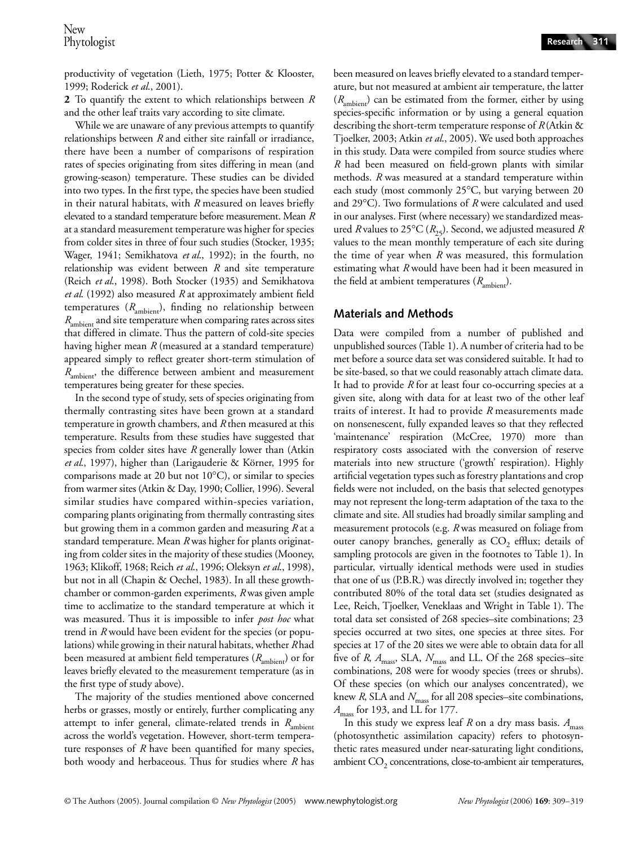productivity of vegetation (Lieth, 1975; Potter & Klooster, 1999; Roderick *et al*., 2001).

**2** To quantify the extent to which relationships between *R* and the other leaf traits vary according to site climate.

While we are unaware of any previous attempts to quantify relationships between *R* and either site rainfall or irradiance, there have been a number of comparisons of respiration rates of species originating from sites differing in mean (and growing-season) temperature. These studies can be divided into two types. In the first type, the species have been studied in their natural habitats, with *R* measured on leaves briefly elevated to a standard temperature before measurement. Mean *R* at a standard measurement temperature was higher for species from colder sites in three of four such studies (Stocker, 1935; Wager, 1941; Semikhatova *et al*., 1992); in the fourth, no relationship was evident between *R* and site temperature (Reich *et al*., 1998). Both Stocker (1935) and Semikhatova *et al*. (1992) also measured *R* at approximately ambient field temperatures  $(R<sub>ambient</sub>)$ , finding no relationship between *R*ambient and site temperature when comparing rates across sites that differed in climate. Thus the pattern of cold-site species having higher mean *R* (measured at a standard temperature) appeared simply to reflect greater short-term stimulation of *R*<sub>ambient</sub>, the difference between ambient and measurement temperatures being greater for these species.

In the second type of study, sets of species originating from thermally contrasting sites have been grown at a standard temperature in growth chambers, and *R* then measured at this temperature. Results from these studies have suggested that species from colder sites have *R* generally lower than (Atkin *et al*., 1997), higher than (Larigauderie & Körner, 1995 for comparisons made at 20 but not 10°C), or similar to species from warmer sites (Atkin & Day, 1990; Collier, 1996). Several similar studies have compared within-species variation, comparing plants originating from thermally contrasting sites but growing them in a common garden and measuring *R* at a standard temperature. Mean *R* was higher for plants originating from colder sites in the majority of these studies (Mooney, 1963; Klikoff, 1968; Reich *et al*., 1996; Oleksyn *et al*., 1998), but not in all (Chapin & Oechel, 1983). In all these growthchamber or common-garden experiments, *R* was given ample time to acclimatize to the standard temperature at which it was measured. Thus it is impossible to infer *post hoc* what trend in *R* would have been evident for the species (or populations) while growing in their natural habitats, whether *R* had been measured at ambient field temperatures ( $R<sub>ambient</sub>$ ) or for leaves briefly elevated to the measurement temperature (as in the first type of study above).

The majority of the studies mentioned above concerned herbs or grasses, mostly or entirely, further complicating any attempt to infer general, climate-related trends in  $R<sub>ambient</sub>$ across the world's vegetation. However, short-term temperature responses of *R* have been quantified for many species, both woody and herbaceous. Thus for studies where *R* has been measured on leaves briefly elevated to a standard temperature, but not measured at ambient air temperature, the latter  $(R<sub>ambient</sub>)$  can be estimated from the former, either by using species-specific information or by using a general equation describing the short-term temperature response of *R* (Atkin & Tjoelker, 2003; Atkin *et al*., 2005). We used both approaches in this study. Data were compiled from source studies where *R* had been measured on field-grown plants with similar methods. *R* was measured at a standard temperature within each study (most commonly 25°C, but varying between 20 and 29°C). Two formulations of *R* were calculated and used in our analyses. First (where necessary) we standardized measured *R* values to 25°C ( $R_{25}$ ). Second, we adjusted measured *R* values to the mean monthly temperature of each site during the time of year when *R* was measured, this formulation estimating what *R* would have been had it been measured in the field at ambient temperatures ( $R$ <sub>ambient</sub>).

# **Materials and Methods**

Data were compiled from a number of published and unpublished sources (Table 1). A number of criteria had to be met before a source data set was considered suitable. It had to be site-based, so that we could reasonably attach climate data. It had to provide *R* for at least four co-occurring species at a given site, along with data for at least two of the other leaf traits of interest. It had to provide *R* measurements made on nonsenescent, fully expanded leaves so that they reflected 'maintenance' respiration (McCree, 1970) more than respiratory costs associated with the conversion of reserve materials into new structure ('growth' respiration). Highly artificial vegetation types such as forestry plantations and crop fields were not included, on the basis that selected genotypes may not represent the long-term adaptation of the taxa to the climate and site. All studies had broadly similar sampling and measurement protocols (e.g. *R* was measured on foliage from outer canopy branches, generally as  $CO<sub>2</sub>$  efflux; details of sampling protocols are given in the footnotes to Table 1). In particular, virtually identical methods were used in studies that one of us (P.B.R.) was directly involved in; together they contributed 80% of the total data set (studies designated as Lee, Reich, Tjoelker, Veneklaas and Wright in Table 1). The total data set consisted of 268 species–site combinations; 23 species occurred at two sites, one species at three sites. For species at 17 of the 20 sites we were able to obtain data for all five of *R*,  $A_{\text{mass}}$ , SLA,  $N_{\text{mass}}$  and LL. Of the 268 species–site combinations, 208 were for woody species (trees or shrubs). Of these species (on which our analyses concentrated), we knew *R*, SLA and  $N_{\text{mass}}$  for all 208 species–site combinations, *A*mass for 193, and LL for 177.

In this study we express leaf *R* on a dry mass basis.  $A_{\text{mass}}$ (photosynthetic assimilation capacity) refers to photosynthetic rates measured under near-saturating light conditions, ambient  $CO<sub>2</sub>$  concentrations, close-to-ambient air temperatures,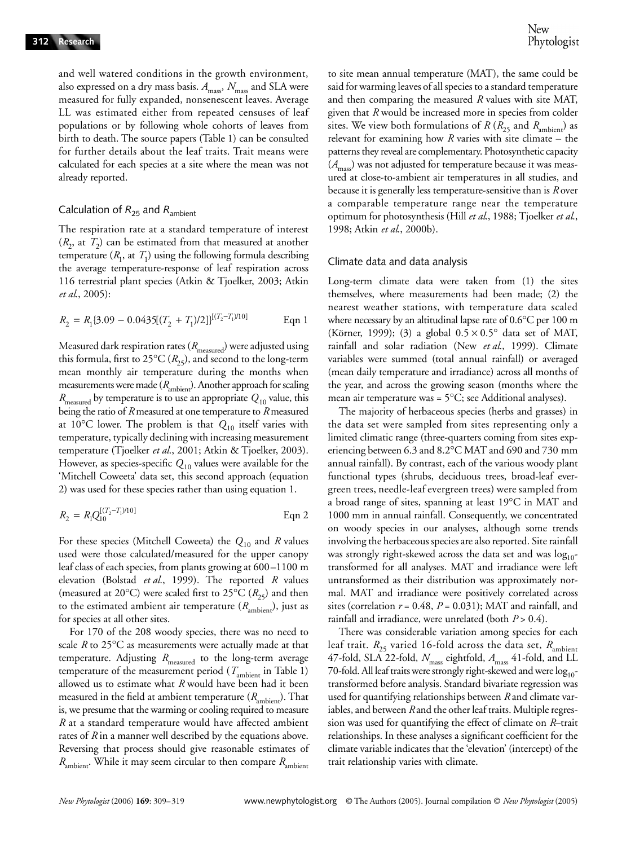and well watered conditions in the growth environment, also expressed on a dry mass basis.  $A_{\text{mass}}$ ,  $N_{\text{mass}}$  and SLA were measured for fully expanded, nonsenescent leaves. Average LL was estimated either from repeated censuses of leaf populations or by following whole cohorts of leaves from birth to death. The source papers (Table 1) can be consulted for further details about the leaf traits. Trait means were calculated for each species at a site where the mean was not already reported.

# Calculation of  $R_{25}$  and  $R_{\text{ambient}}$

The respiration rate at a standard temperature of interest  $(R_2, \text{ at } T_2)$  can be estimated from that measured at another temperature  $(R_1, \text{ at } T_1)$  using the following formula describing the average temperature-response of leaf respiration across 116 terrestrial plant species (Atkin & Tjoelker, 2003; Atkin *et al*., 2005):

$$
R_2 = R_1 \{3.09 - 0.0435[(T_2 + T_1)/2]\}^{[(T_2 - T_1)/10]}
$$
 Eqn 1

Measured dark respiration rates ( $R_{\text{measured}}$ ) were adjusted using this formula, first to 25 $^{\circ}$ C ( $R_{25}$ ), and second to the long-term mean monthly air temperature during the months when measurements were made ( $R_{\text{ambient}}$ ). Another approach for scaling *R*measured by temperature is to use an appropriate *Q*10 value, this being the ratio of *R* measured at one temperature to *R* measured at 10°C lower. The problem is that  $Q_{10}$  itself varies with temperature, typically declining with increasing measurement temperature (Tjoelker *et al*., 2001; Atkin & Tjoelker, 2003). However, as species-specific *Q*<sup>10</sup> values were available for the 'Mitchell Coweeta' data set, this second approach (equation 2) was used for these species rather than using equation 1.

$$
R_2 = R_1 Q_{10}^{[(T_2 - T_1)/10]}
$$
 Eqn 2

For these species (Mitchell Coweeta) the *Q*<sup>10</sup> and *R* values used were those calculated/measured for the upper canopy leaf class of each species, from plants growing at 600–1100 m elevation (Bolstad *et al*., 1999). The reported *R* values (measured at 20°C) were scaled first to 25°C ( $R_{25}$ ) and then to the estimated ambient air temperature  $(R_{\text{ambient}})$ , just as for species at all other sites.

For 170 of the 208 woody species, there was no need to scale *R* to 25°C as measurements were actually made at that temperature. Adjusting  $R_{\text{measured}}$  to the long-term average temperature of the measurement period ( $T_{\text{ambient}}$  in Table 1) allowed us to estimate what *R* would have been had it been measured in the field at ambient temperature  $(R_{\text{ambient}})$ . That is, we presume that the warming or cooling required to measure *R* at a standard temperature would have affected ambient rates of *R* in a manner well described by the equations above. Reversing that process should give reasonable estimates of *R*<sub>ambient</sub>. While it may seem circular to then compare *R*<sub>ambient</sub>

to site mean annual temperature (MAT), the same could be said for warming leaves of all species to a standard temperature and then comparing the measured *R* values with site MAT, given that *R* would be increased more in species from colder sites. We view both formulations of  $R(R_{25}$  and  $R_{\text{ambient}})$  as relevant for examining how *R* varies with site climate – the patterns they reveal are complementary. Photosynthetic capacity (*A*mass) was not adjusted for temperature because it was measured at close-to-ambient air temperatures in all studies, and because it is generally less temperature-sensitive than is *R* over a comparable temperature range near the temperature optimum for photosynthesis (Hill *et al*., 1988; Tjoelker *et al*., 1998; Atkin *et al*., 2000b).

## Climate data and data analysis

Long-term climate data were taken from (1) the sites themselves, where measurements had been made; (2) the nearest weather stations, with temperature data scaled where necessary by an altitudinal lapse rate of 0.6°C per 100 m (Körner, 1999); (3) a global  $0.5 \times 0.5^{\circ}$  data set of MAT, rainfall and solar radiation (New *et al*., 1999). Climate variables were summed (total annual rainfall) or averaged (mean daily temperature and irradiance) across all months of the year, and across the growing season (months where the mean air temperature was =  $5^{\circ}$ C; see Additional analyses).

The majority of herbaceous species (herbs and grasses) in the data set were sampled from sites representing only a limited climatic range (three-quarters coming from sites experiencing between 6.3 and 8.2°C MAT and 690 and 730 mm annual rainfall). By contrast, each of the various woody plant functional types (shrubs, deciduous trees, broad-leaf evergreen trees, needle-leaf evergreen trees) were sampled from a broad range of sites, spanning at least 19°C in MAT and 1000 mm in annual rainfall. Consequently, we concentrated on woody species in our analyses, although some trends involving the herbaceous species are also reported. Site rainfall was strongly right-skewed across the data set and was  $log_{10}$ transformed for all analyses. MAT and irradiance were left untransformed as their distribution was approximately normal. MAT and irradiance were positively correlated across sites (correlation  $r = 0.48$ ,  $P = 0.031$ ); MAT and rainfall, and rainfall and irradiance, were unrelated (both *P* > 0.4).

There was considerable variation among species for each leaf trait.  $R_{25}$  varied 16-fold across the data set,  $R_{\text{ambient}}$ 47-fold, SLA 22-fold, *N*mass eightfold, *A*mass 41-fold, and LL 70-fold. All leaf traits were strongly right-skewed and were  $\log_{10}$ transformed before analysis. Standard bivariate regression was used for quantifying relationships between *R* and climate variables, and between *R* and the other leaf traits. Multiple regression was used for quantifying the effect of climate on *R*–trait relationships. In these analyses a significant coefficient for the climate variable indicates that the 'elevation' (intercept) of the trait relationship varies with climate.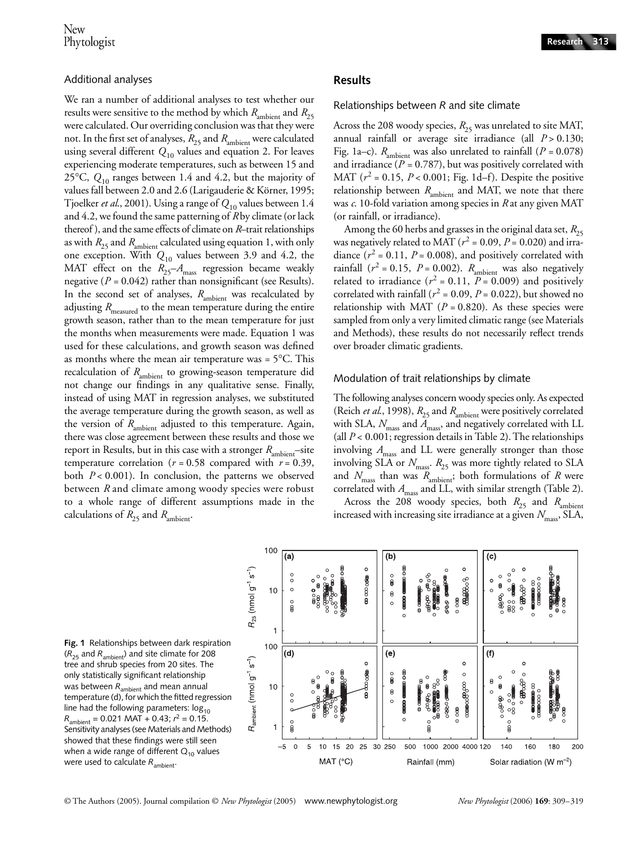## Additional analyses

We ran a number of additional analyses to test whether our results were sensitive to the method by which  $R_{\text{ambient}}$  and  $R_{25}$ were calculated. Our overriding conclusion was that they were not. In the first set of analyses,  $R_{25}$  and  $R_{\rm ambient}$  were calculated using several different *Q*<sup>10</sup> values and equation 2. For leaves experiencing moderate temperatures, such as between 15 and 25°C, *Q*<sup>10</sup> ranges between 1.4 and 4.2, but the majority of values fall between 2.0 and 2.6 (Larigauderie & Körner, 1995; Tjoelker *et al*., 2001). Using a range of *Q*<sup>10</sup> values between 1.4 and 4.2, we found the same patterning of *R* by climate (or lack thereof ), and the same effects of climate on *R*–trait relationships as with  $R_{25}$  and  $R_{\text{ambient}}$  calculated using equation 1, with only one exception. With *Q*<sup>10</sup> values between 3.9 and 4.2, the MAT effect on the  $R_{25} - A_{\text{mass}}$  regression became weakly negative (*P =* 0.042) rather than nonsignificant (see Results). In the second set of analyses, *R*<sub>ambient</sub> was recalculated by adjusting  $R_{\text{measured}}$  to the mean temperature during the entire growth season, rather than to the mean temperature for just the months when measurements were made. Equation 1 was used for these calculations, and growth season was defined as months where the mean air temperature was = 5°C. This recalculation of *R*<sub>ambient</sub> to growing-season temperature did not change our findings in any qualitative sense. Finally, instead of using MAT in regression analyses, we substituted the average temperature during the growth season, as well as the version of *R*<sub>ambient</sub> adjusted to this temperature. Again, there was close agreement between these results and those we report in Results, but in this case with a stronger  $R<sub>ambient</sub>$ –site temperature correlation ( $r = 0.58$  compared with  $r = 0.39$ , both *P* < 0.001). In conclusion, the patterns we observed between *R* and climate among woody species were robust to a whole range of different assumptions made in the calculations of  $R_{25}$  and  $R_{\text{ambient}}$ .

## **Results**

Relationships between *R* and site climate

Across the 208 woody species,  $R_{25}$  was unrelated to site MAT, annual rainfall or average site irradiance (all  $P > 0.130$ ; Fig. 1a–c).  $R_{\text{ambient}}$  was also unrelated to rainfall ( $P = 0.078$ ) and irradiance (*P =* 0.787), but was positively correlated with MAT  $(r^2 = 0.15, P < 0.001;$  Fig. 1d–f). Despite the positive relationship between  $R_{\text{ambient}}$  and MAT, we note that there was *c*. 10-fold variation among species in *R* at any given MAT (or rainfall, or irradiance).

Among the 60 herbs and grasses in the original data set,  $R_{25}$ was negatively related to MAT ( $r^2$  = 0.09,  $P$  = 0.020) and irradiance  $(r^2 = 0.11, P = 0.008)$ , and positively correlated with rainfall ( $r^2 = 0.15$ ,  $P = 0.002$ ).  $R_{\text{ambient}}$  was also negatively related to irradiance ( $r^2$  = 0.11,  $P$  = 0.009) and positively correlated with rainfall ( $r^2$  = 0.09,  $P$  = 0.022), but showed no relationship with MAT ( $P = 0.820$ ). As these species were sampled from only a very limited climatic range (see Materials and Methods), these results do not necessarily reflect trends over broader climatic gradients.

#### Modulation of trait relationships by climate

The following analyses concern woody species only. As expected (Reich *et al.*, 1998),  $R_{25}$  and  $R_{\text{ambient}}$  were positively correlated with SLA,  $N_{\text{mass}}$  and  $A_{\text{mass}}$ , and negatively correlated with LL (all *P* < 0.001; regression details in Table 2). The relationships involving  $A_{\text{mass}}$  and LL were generally stronger than those involving SLA or  $N_{\text{mass}}$ .  $R_{25}$  was more tightly related to SLA and  $N_{\text{mass}}$  than was  $R_{\text{ambient}}$ ; both formulations of  $R$  were correlated with *A*<sub>mass</sub> and LL, with similar strength (Table 2). Across the 208 woody species, both  $R_{25}$  and  $R_{\text{ambient}}$ 

increased with increasing site irradiance at a given  $N_{\text{mass}}$ , SLA,



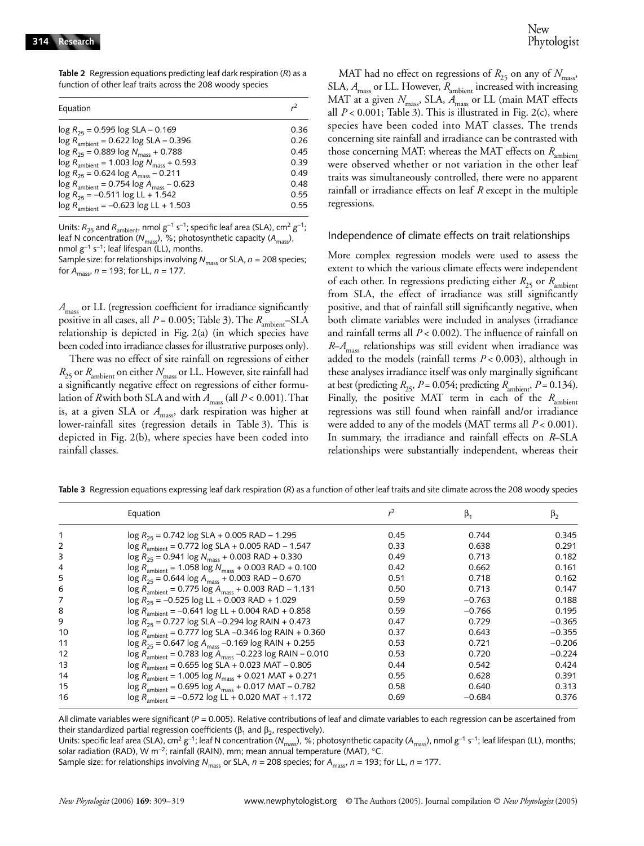**Table 2** Regression equations predicting leaf dark respiration (*R*) as a function of other leaf traits across the 208 woody species

| Equation                                                       | r <sup>2</sup> |
|----------------------------------------------------------------|----------------|
|                                                                |                |
| $\log R_{25} = 0.595 \log SLA - 0.169$                         | 0.36           |
| $\log R_{\text{ambient}} = 0.622 \log SLA - 0.396$             | 0.26           |
| $\log R_{25} = 0.889 \log N_{\text{mass}} + 0.788$             | 0.45           |
| $\log R_{\text{ambient}} = 1.003 \log N_{\text{mass}} + 0.593$ | 0.39           |
| $\log R_{25} = 0.624 \log A_{\text{mass}} - 0.211$             | 0.49           |
| $\log R_{\text{ambient}} = 0.754 \log A_{\text{mass}} - 0.623$ | 0.48           |
| $\log R_{25} = -0.511 \log L L + 1.542$                        | 0.55           |
| $\log R_{\text{ambient}} = -0.623 \log L L + 1.503$            | 0.55           |

Units:  $R_{25}$  and  $R_{\text{ambient}}$  nmol  $g^{-1}$  s<sup>-1</sup>; specific leaf area (SLA), cm<sup>2</sup>  $g^{-1}$ ; leaf N concentration ( $N_{\text{mass}}$ ), %; photosynthetic capacity ( $A_{\text{mass}}$ ), nmol g<sup>-1</sup> s<sup>-1</sup>; leaf lifespan (LL), months.

Sample size: for relationships involving *N*<sub>mass</sub> or SLA, *n* = 208 species; for  $A_{\text{maser}}$ ,  $n = 193$ ; for LL,  $n = 177$ .

*A*mass or LL (regression coefficient for irradiance significantly positive in all cases, all *P* = 0.005; Table 3). The *R*<sub>ambient</sub>–SLA relationship is depicted in Fig. 2(a) (in which species have been coded into irradiance classes for illustrative purposes only).

There was no effect of site rainfall on regressions of either  $R_{25}$  or  $R_{\text{ambient}}$  on either  $N_{\text{mass}}$  or LL. However, site rainfall had a significantly negative effect on regressions of either formulation of *R* with both SLA and with  $A_{\text{mass}}$  (all  $P < 0.001$ ). That is, at a given SLA or  $A_{\text{mass}}$ , dark respiration was higher at lower-rainfall sites (regression details in Table 3). This is depicted in Fig. 2(b), where species have been coded into rainfall classes.

MAT had no effect on regressions of  $R_{25}$  on any of  $N_{\text{mass}}$ , SLA,  $A_{\text{mass}}$  or LL. However,  $R_{\text{ambient}}$  increased with increasing MAT at a given  $N_{\text{mass}}$ , SLA,  $A_{\text{mass}}$  or LL (main MAT effects all  $P < 0.001$ ; Table 3). This is illustrated in Fig. 2(c), where species have been coded into MAT classes. The trends concerning site rainfall and irradiance can be contrasted with those concerning MAT: whereas the MAT effects on  $R_{\text{ambient}}$ were observed whether or not variation in the other leaf traits was simultaneously controlled, there were no apparent rainfall or irradiance effects on leaf *R* except in the multiple regressions.

#### Independence of climate effects on trait relationships

More complex regression models were used to assess the extent to which the various climate effects were independent of each other. In regressions predicting either  $R_{25}$  or  $R_{\text{ambient}}$ from SLA, the effect of irradiance was still significantly positive, and that of rainfall still significantly negative, when both climate variables were included in analyses (irradiance and rainfall terms all *P* < 0.002). The influence of rainfall on *R*–*A*mass relationships was still evident when irradiance was added to the models (rainfall terms *P* < 0.003), although in these analyses irradiance itself was only marginally significant at best (predicting  $R_{25}$ ,  $P = 0.054$ ; predicting  $R_{\text{ambient}}$ ,  $P = 0.134$ ). Finally, the positive MAT term in each of the  $R$ <sub>ambient</sub> regressions was still found when rainfall and/or irradiance were added to any of the models (MAT terms all *P* < 0.001). In summary, the irradiance and rainfall effects on *R*–SLA relationships were substantially independent, whereas their

|    | Equation                                                                           | $r^2$ | $\beta_1$ | $\beta_2$ |
|----|------------------------------------------------------------------------------------|-------|-----------|-----------|
|    | $\log R_{25}$ = 0.742 $\log$ SLA + 0.005 RAD – 1.295                               | 0.45  | 0.744     | 0.345     |
| 2  | $\log R$ <sub>ambient</sub> = 0.772 $\log$ SLA + 0.005 RAD - 1.547                 | 0.33  | 0.638     | 0.291     |
| 3  | $\log R_{25} = 0.941 \log N_{\text{mass}} + 0.003 \text{ RAD} + 0.330$             | 0.49  | 0.713     | 0.182     |
| 4  | $\log R_{\text{ambient}} = 1.058 \log N_{\text{mass}} + 0.003 \text{ RAD} + 0.100$ | 0.42  | 0.662     | 0.161     |
| 5  | $\log R_{25} = 0.644 \log A_{\text{mass}} + 0.003 \text{ RAD} - 0.670$             | 0.51  | 0.718     | 0.162     |
| 6  | $\log R_{\text{ambient}} = 0.775 \log A_{\text{mass}} + 0.003 \text{ RAD} - 1.131$ | 0.50  | 0.713     | 0.147     |
| 7  | $\log R_{25} = -0.525 \log L L + 0.003 \text{ RAD} + 1.029$                        | 0.59  | $-0.763$  | 0.188     |
| 8  | $\log R_{\text{ambient}} = -0.641 \log LL + 0.004 \text{ RAD} + 0.858$             | 0.59  | $-0.766$  | 0.195     |
| 9  | $\log R_{25} = 0.727 \log SLA - 0.294 \log RAIN + 0.473$                           | 0.47  | 0.729     | $-0.365$  |
| 10 | $\log R_{\text{ambient}} = 0.777 \log SLA - 0.346 \log RAIN + 0.360$               | 0.37  | 0.643     | $-0.355$  |
| 11 | $\log R_{25} = 0.647 \log A_{\text{mass}} - 0.169 \log R A IN + 0.255$             | 0.53  | 0.721     | $-0.206$  |
| 12 | $\log R_{\text{ambient}} = 0.783 \log A_{\text{mass}} - 0.223 \log R A/N - 0.010$  | 0.53  | 0.720     | $-0.224$  |
| 13 | $\log R_{\text{ambient}} = 0.655 \log SLA + 0.023 \text{ MAT} - 0.805$             | 0.44  | 0.542     | 0.424     |
| 14 | $\log R_{\text{ambient}} = 1.005 \log N_{\text{mass}} + 0.021 \text{ MAT} + 0.271$ | 0.55  | 0.628     | 0.391     |
| 15 | $\log R_{\text{ambient}} = 0.695 \log A_{\text{mass}} + 0.017 \text{ MAT} - 0.782$ | 0.58  | 0.640     | 0.313     |
| 16 | $log R_{\text{ambient}} = -0.572 log LL + 0.020 MAT + 1.172$                       | 0.69  | $-0.684$  | 0.376     |

**Table 3** Regression equations expressing leaf dark respiration (*R*) as a function of other leaf traits and site climate across the 208 woody species

All climate variables were significant (*P =* 0.005). Relative contributions of leaf and climate variables to each regression can be ascertained from their standardized partial regression coefficients ( $β_1$  and  $β_2$ , respectively).

Units: specific leaf area (SLA), cm<sup>2</sup> g<sup>-1</sup>; leaf N concentration (*N*<sub>mass</sub>), %; photosynthetic capacity (*A*<sub>mass</sub>), nmol g<sup>-1</sup> s<sup>-1</sup>; leaf lifespan (LL), months; solar radiation (RAD), W m<sup>−</sup>2; rainfall (RAIN), mm; mean annual temperature (MAT), °C.

Sample size: for relationships involving *N*mass or SLA, *n* = 208 species; for *A*mass, *n* = 193; for LL, *n* = 177.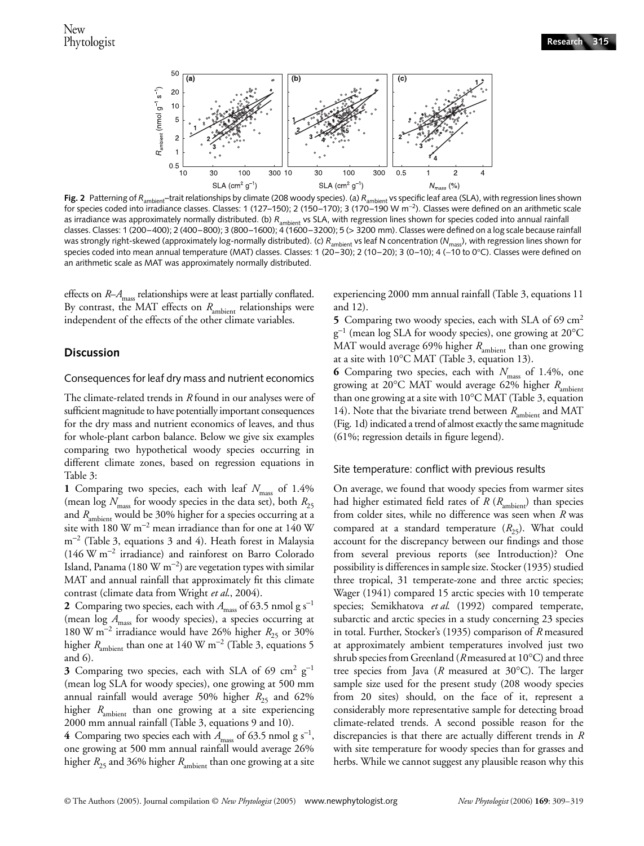

**Fig. 2** Patterning of R<sub>ambient</sub>–trait relationships by climate (208 woody species). (a) R<sub>ambient</sub> vs specific leaf area (SLA), with regression lines shown for species coded into irradiance classes. Classes: 1 (127–150); 2 (150–170); 3 (170–190 W m<sup>−</sup>2). Classes were defined on an arithmetic scale as irradiance was approximately normally distributed. (b) R<sub>ambient</sub> vs SLA, with regression lines shown for species coded into annual rainfall classes. Classes: 1 (200–400); 2 (400–800); 3 (800–1600); 4 (1600–3200); 5 (> 3200 mm). Classes were defined on a log scale because rainfall was strongly right-skewed (approximately log-normally distributed). (c) *R*ambient vs leaf N concentration (*N*mass), with regression lines shown for species coded into mean annual temperature (MAT) classes. Classes: 1 (20–30); 2 (10–20); 3 (0–10); 4 (−10 to 0°C). Classes were defined on an arithmetic scale as MAT was approximately normally distributed.

effects on *R*–*A*<sub>mass</sub> relationships were at least partially conflated. By contrast, the MAT effects on *R*<sub>ambient</sub> relationships were independent of the effects of the other climate variables.

## **Discussion**

#### Consequences for leaf dry mass and nutrient economics

The climate-related trends in *R* found in our analyses were of sufficient magnitude to have potentially important consequences for the dry mass and nutrient economics of leaves, and thus for whole-plant carbon balance. Below we give six examples comparing two hypothetical woody species occurring in different climate zones, based on regression equations in Table 3:

1 Comparing two species, each with leaf  $N_{\text{mass}}$  of 1.4% (mean  $\log N_{\text{mass}}$  for woody species in the data set), both  $R_{25}$ and *R*<sub>ambient</sub> would be 30% higher for a species occurring at a site with 180 W m<sup>−</sup><sup>2</sup> mean irradiance than for one at 140 W m<sup>−</sup><sup>2</sup> (Table 3, equations 3 and 4). Heath forest in Malaysia (146 W m<sup>−</sup><sup>2</sup> irradiance) and rainforest on Barro Colorado Island, Panama (180 W m<sup>−2</sup>) are vegetation types with similar MAT and annual rainfall that approximately fit this climate contrast (climate data from Wright *et al*., 2004).

**2** Comparing two species, each with  $A_{\text{mass}}$  of 63.5 nmol g s<sup>-1</sup> (mean log  $A_{\text{mass}}$  for woody species), a species occurring at 180 W m<sup>-2</sup> irradiance would have 26% higher *R*<sub>25</sub> or 30% higher *R*ambient than one at 140 W m<sup>−</sup><sup>2</sup> (Table 3, equations 5 and 6).

3 Comparing two species, each with SLA of 69 cm<sup>2</sup> g<sup>-1</sup> (mean log SLA for woody species), one growing at 500 mm annual rainfall would average 50% higher  $R_{25}$  and 62% higher *R*<sub>ambient</sub> than one growing at a site experiencing 2000 mm annual rainfall (Table 3, equations 9 and 10). **4** Comparing two species each with  $A_{\text{mass}}$  of 63.5 nmol g s<sup>-1</sup>, one growing at 500 mm annual rainfall would average 26% higher  $R_{25}$  and 36% higher  $R_{\text{ambient}}$  than one growing at a site experiencing 2000 mm annual rainfall (Table 3, equations 11 and 12).

**5** Comparing two woody species, each with SLA of 69 cm<sup>2</sup> g<sup>−</sup><sup>1</sup> (mean log SLA for woody species), one growing at 20°C MAT would average 69% higher *R*<sub>ambient</sub> than one growing at a site with 10°C MAT (Table 3, equation 13).

**6** Comparing two species, each with  $N_{\text{mass}}$  of 1.4%, one growing at 20°C MAT would average 62% higher  $R<sub>ambient</sub>$ than one growing at a site with 10°C MAT (Table 3, equation 14). Note that the bivariate trend between  $R_{\text{ambient}}$  and MAT (Fig. 1d) indicated a trend of almost exactly the same magnitude (61%; regression details in figure legend).

## Site temperature: conflict with previous results

On average, we found that woody species from warmer sites had higher estimated field rates of *R* ( $R_{\text{ambient}}$ ) than species from colder sites, while no difference was seen when *R* was compared at a standard temperature  $(R_{25})$ . What could account for the discrepancy between our findings and those from several previous reports (see Introduction)? One possibility is differences in sample size. Stocker (1935) studied three tropical, 31 temperate-zone and three arctic species; Wager (1941) compared 15 arctic species with 10 temperate species; Semikhatova *et al*. (1992) compared temperate, subarctic and arctic species in a study concerning 23 species in total. Further, Stocker's (1935) comparison of *R* measured at approximately ambient temperatures involved just two shrub species from Greenland (*R* measured at 10°C) and three tree species from Java (*R* measured at 30°C). The larger sample size used for the present study (208 woody species from 20 sites) should, on the face of it, represent a considerably more representative sample for detecting broad climate-related trends. A second possible reason for the discrepancies is that there are actually different trends in *R* with site temperature for woody species than for grasses and herbs. While we cannot suggest any plausible reason why this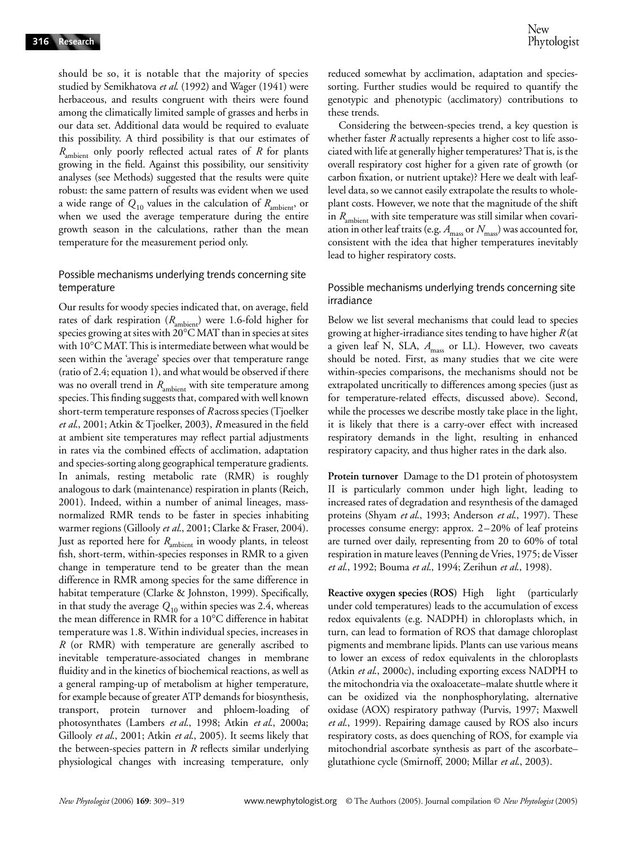should be so, it is notable that the majority of species studied by Semikhatova *et al*. (1992) and Wager (1941) were herbaceous, and results congruent with theirs were found among the climatically limited sample of grasses and herbs in our data set. Additional data would be required to evaluate this possibility. A third possibility is that our estimates of *R*ambient only poorly reflected actual rates of *R* for plants growing in the field. Against this possibility, our sensitivity analyses (see Methods) suggested that the results were quite robust: the same pattern of results was evident when we used a wide range of  $Q_{10}$  values in the calculation of  $R_{\text{ambient}}$ , or when we used the average temperature during the entire growth season in the calculations, rather than the mean temperature for the measurement period only.

## Possible mechanisms underlying trends concerning site temperature

Our results for woody species indicated that, on average, field rates of dark respiration ( $R$ <sub>ambient</sub>) were 1.6-fold higher for species growing at sites with 20°C MAT than in species at sites with 10°C MAT. This is intermediate between what would be seen within the 'average' species over that temperature range (ratio of 2.4; equation 1), and what would be observed if there was no overall trend in *R*<sub>ambient</sub> with site temperature among species. This finding suggests that, compared with well known short-term temperature responses of *R* across species (Tjoelker *et al*., 2001; Atkin & Tjoelker, 2003), *R* measured in the field at ambient site temperatures may reflect partial adjustments in rates via the combined effects of acclimation, adaptation and species-sorting along geographical temperature gradients. In animals, resting metabolic rate (RMR) is roughly analogous to dark (maintenance) respiration in plants (Reich, 2001). Indeed, within a number of animal lineages, massnormalized RMR tends to be faster in species inhabiting warmer regions (Gillooly *et al*., 2001; Clarke & Fraser, 2004). Just as reported here for *R*<sub>ambient</sub> in woody plants, in teleost fish, short-term, within-species responses in RMR to a given change in temperature tend to be greater than the mean difference in RMR among species for the same difference in habitat temperature (Clarke & Johnston, 1999). Specifically, in that study the average  $Q_{10}$  within species was 2.4, whereas the mean difference in RMR for a 10°C difference in habitat temperature was 1.8. Within individual species, increases in *R* (or RMR) with temperature are generally ascribed to inevitable temperature-associated changes in membrane fluidity and in the kinetics of biochemical reactions, as well as a general ramping-up of metabolism at higher temperature, for example because of greater ATP demands for biosynthesis, transport, protein turnover and phloem-loading of photosynthates (Lambers *et al*., 1998; Atkin *et al*., 2000a; Gillooly *et al*., 2001; Atkin *et al*., 2005). It seems likely that the between-species pattern in *R* reflects similar underlying physiological changes with increasing temperature, only

reduced somewhat by acclimation, adaptation and speciessorting. Further studies would be required to quantify the genotypic and phenotypic (acclimatory) contributions to these trends.

Considering the between-species trend, a key question is whether faster *R* actually represents a higher cost to life associated with life at generally higher temperatures? That is, is the overall respiratory cost higher for a given rate of growth (or carbon fixation, or nutrient uptake)? Here we dealt with leaflevel data, so we cannot easily extrapolate the results to wholeplant costs. However, we note that the magnitude of the shift in *R*<sub>ambient</sub> with site temperature was still similar when covariation in other leaf traits (e.g.  $A_{\text{mass}}$  or  $N_{\text{mass}}$ ) was accounted for, consistent with the idea that higher temperatures inevitably lead to higher respiratory costs.

## Possible mechanisms underlying trends concerning site irradiance

Below we list several mechanisms that could lead to species growing at higher-irradiance sites tending to have higher *R* (at a given leaf N, SLA,  $A_{\text{mass}}$  or LL). However, two caveats should be noted. First, as many studies that we cite were within-species comparisons, the mechanisms should not be extrapolated uncritically to differences among species (just as for temperature-related effects, discussed above). Second, while the processes we describe mostly take place in the light, it is likely that there is a carry-over effect with increased respiratory demands in the light, resulting in enhanced respiratory capacity, and thus higher rates in the dark also.

**Protein turnover** Damage to the D1 protein of photosystem II is particularly common under high light, leading to increased rates of degradation and resynthesis of the damaged proteins (Shyam *et al*., 1993; Anderson *et al*., 1997). These processes consume energy: approx. 2–20% of leaf proteins are turned over daily, representing from 20 to 60% of total respiration in mature leaves (Penning de Vries, 1975; de Visser *et al*., 1992; Bouma *et al*., 1994; Zerihun *et al*., 1998).

**Reactive oxygen species (ROS)** High light (particularly under cold temperatures) leads to the accumulation of excess redox equivalents (e.g. NADPH) in chloroplasts which, in turn, can lead to formation of ROS that damage chloroplast pigments and membrane lipids. Plants can use various means to lower an excess of redox equivalents in the chloroplasts (Atkin *et al*., 2000c), including exporting excess NADPH to the mitochondria via the oxaloacetate–malate shuttle where it can be oxidized via the nonphosphorylating, alternative oxidase (AOX) respiratory pathway (Purvis, 1997; Maxwell *et al*., 1999). Repairing damage caused by ROS also incurs respiratory costs, as does quenching of ROS, for example via mitochondrial ascorbate synthesis as part of the ascorbate– glutathione cycle (Smirnoff, 2000; Millar *et al*., 2003).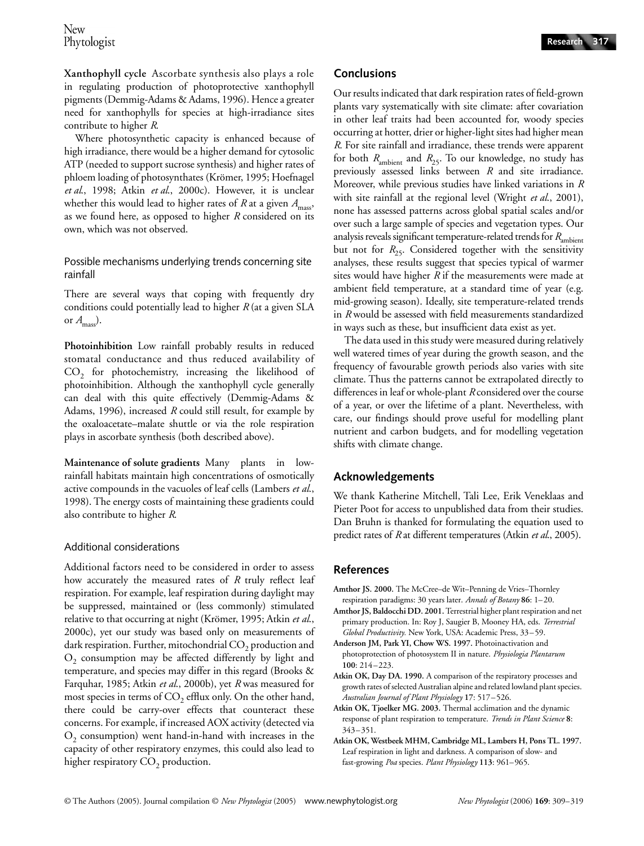**Xanthophyll cycle** Ascorbate synthesis also plays a role in regulating production of photoprotective xanthophyll pigments (Demmig-Adams & Adams, 1996). Hence a greater need for xanthophylls for species at high-irradiance sites contribute to higher *R*.

Where photosynthetic capacity is enhanced because of high irradiance, there would be a higher demand for cytosolic ATP (needed to support sucrose synthesis) and higher rates of phloem loading of photosynthates (Krömer, 1995; Hoefnagel *et al*., 1998; Atkin *et al*., 2000c). However, it is unclear whether this would lead to higher rates of *R* at a given  $A_{\text{mass}}$ , as we found here, as opposed to higher *R* considered on its own, which was not observed.

Possible mechanisms underlying trends concerning site rainfall

There are several ways that coping with frequently dry conditions could potentially lead to higher *R* (at a given SLA or *A*mass).

**Photoinhibition** Low rainfall probably results in reduced stomatal conductance and thus reduced availability of CO<sub>2</sub> for photochemistry, increasing the likelihood of photoinhibition. Although the xanthophyll cycle generally can deal with this quite effectively (Demmig-Adams & Adams, 1996), increased *R* could still result, for example by the oxaloacetate–malate shuttle or via the role respiration plays in ascorbate synthesis (both described above).

**Maintenance of solute gradients** Many plants in lowrainfall habitats maintain high concentrations of osmotically active compounds in the vacuoles of leaf cells (Lambers *et al*., 1998). The energy costs of maintaining these gradients could also contribute to higher *R*.

## Additional considerations

Additional factors need to be considered in order to assess how accurately the measured rates of *R* truly reflect leaf respiration. For example, leaf respiration during daylight may be suppressed, maintained or (less commonly) stimulated relative to that occurring at night (Krömer, 1995; Atkin *et al*., 2000c), yet our study was based only on measurements of dark respiration. Further, mitochondrial  $CO<sub>2</sub>$  production and  $O<sub>2</sub>$  consumption may be affected differently by light and temperature, and species may differ in this regard (Brooks & Farquhar, 1985; Atkin *et al*., 2000b), yet *R* was measured for most species in terms of  $CO<sub>2</sub>$  efflux only. On the other hand, there could be carry-over effects that counteract these concerns. For example, if increased AOX activity (detected via  $O<sub>2</sub>$  consumption) went hand-in-hand with increases in the capacity of other respiratory enzymes, this could also lead to higher respiratory  $CO<sub>2</sub>$  production.

## **Conclusions**

Our results indicated that dark respiration rates of field-grown plants vary systematically with site climate: after covariation in other leaf traits had been accounted for, woody species occurring at hotter, drier or higher-light sites had higher mean *R*. For site rainfall and irradiance, these trends were apparent for both  $R_{\text{ambient}}$  and  $R_{25}$ . To our knowledge, no study has previously assessed links between *R* and site irradiance. Moreover, while previous studies have linked variations in *R* with site rainfall at the regional level (Wright *et al*., 2001), none has assessed patterns across global spatial scales and/or over such a large sample of species and vegetation types. Our analysis reveals significant temperature-related trends for *R*<sub>ambient</sub> but not for  $R_{25}$ . Considered together with the sensitivity analyses, these results suggest that species typical of warmer sites would have higher *R* if the measurements were made at ambient field temperature, at a standard time of year (e.g. mid-growing season). Ideally, site temperature-related trends in *R* would be assessed with field measurements standardized in ways such as these, but insufficient data exist as yet.

The data used in this study were measured during relatively well watered times of year during the growth season, and the frequency of favourable growth periods also varies with site climate. Thus the patterns cannot be extrapolated directly to differences in leaf or whole-plant *R* considered over the course of a year, or over the lifetime of a plant. Nevertheless, with care, our findings should prove useful for modelling plant nutrient and carbon budgets, and for modelling vegetation shifts with climate change.

# **Acknowledgements**

We thank Katherine Mitchell, Tali Lee, Erik Veneklaas and Pieter Poot for access to unpublished data from their studies. Dan Bruhn is thanked for formulating the equation used to predict rates of *R* at different temperatures (Atkin *et al*., 2005).

# **References**

- **Amthor JS. 2000.** The McCree–de Wit–Penning de Vries–Thornley respiration paradigms: 30 years later. *Annals of Botany* **86**: 1–20.
- **Amthor JS, Baldocchi DD. 2001.** Terrestrial higher plant respiration and net primary production. In: Roy J, Saugier B, Mooney HA, eds. *Terrestrial Global Productivity.* New York, USA: Academic Press, 33–59.
- **Anderson JM, Park YI, Chow WS. 1997.** Photoinactivation and photoprotection of photosystem II in nature. *Physiologia Plantarum* **100**: 214–223.
- **Atkin OK, Day DA. 1990.** A comparison of the respiratory processes and growth rates of selected Australian alpine and related lowland plant species. *Australian Journal of Plant Physiology* **17**: 517–526.
- **Atkin OK, Tjoelker MG. 2003.** Thermal acclimation and the dynamic response of plant respiration to temperature. *Trends in Plant Science* **8**: 343–351.
- **Atkin OK, Westbeek MHM, Cambridge ML, Lambers H, Pons TL. 1997.**  Leaf respiration in light and darkness. A comparison of slow- and fast-growing *Poa* species. *Plant Physiology* **113**: 961–965.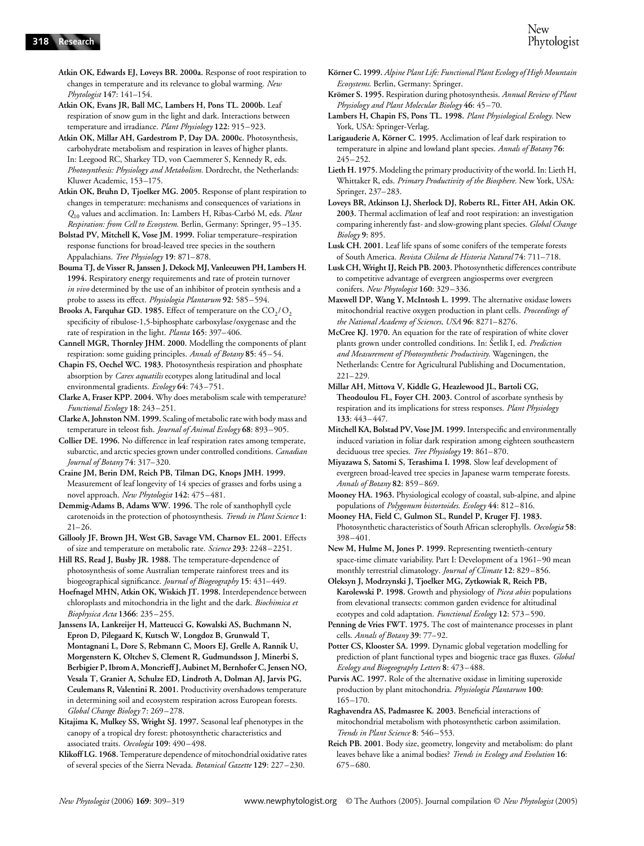**Atkin OK, Edwards EJ, Loveys BR. 2000a.** Response of root respiration to changes in temperature and its relevance to global warming. *New Phytologist* **147**: 141–154.

**Atkin OK, Evans JR, Ball MC, Lambers H, Pons TL. 2000b.** Leaf respiration of snow gum in the light and dark. Interactions between temperature and irradiance. *Plant Physiology* **122**: 915–923.

**Atkin OK, Millar AH, Gardestrom P, Day DA. 2000c.** Photosynthesis, carbohydrate metabolism and respiration in leaves of higher plants. In: Leegood RC, Sharkey TD, von Caemmerer S, Kennedy R, eds. *Photosynthesis: Physiology and Metabolism.* Dordrecht, the Netherlands: Kluwer Academic, 153–175.

**Atkin OK, Bruhn D, Tjoelker MG. 2005.** Response of plant respiration to changes in temperature: mechanisms and consequences of variations in *Q*10 values and acclimation. In: Lambers H, Ribas-Carbó M, eds. *Plant Respiration: from Cell to Ecosystem.* Berlin, Germany: Springer, 95–135.

**Bolstad PV, Mitchell K, Vose JM. 1999.** Foliar temperature–respiration response functions for broad-leaved tree species in the southern Appalachians. *Tree Physiology* **19**: 871–878.

**Bouma TJ, de Visser R, Janssen J, Dekock MJ, Vanleeuwen PH, Lambers H. 1994.** Respiratory energy requirements and rate of protein turnover *in vivo* determined by the use of an inhibitor of protein synthesis and a probe to assess its effect. *Physiologia Plantarum* **92**: 585–594.

Brooks A, Farquhar GD. 1985. Effect of temperature on the CO<sub>2</sub>/O<sub>2</sub> specificity of ribulose-1,5-biphosphate carboxylase/oxygenase and the rate of respiration in the light. *Planta* **165**: 397–406.

**Cannell MGR, Thornley JHM. 2000.** Modelling the components of plant respiration: some guiding principles. *Annals of Botany* **85**: 45–54.

**Chapin FS, Oechel WC. 1983.** Photosynthesis respiration and phosphate absorption by *Carex aquatilis* ecotypes along latitudinal and local environmental gradients. *Ecology* **64**: 743–751.

**Clarke A, Fraser KPP. 2004.** Why does metabolism scale with temperature? *Functional Ecology* **18**: 243–251.

**Clarke A, Johnston NM. 1999.** Scaling of metabolic rate with body mass and temperature in teleost fish. *Journal of Animal Ecology* **68**: 893–905.

**Collier DE. 1996.** No difference in leaf respiration rates among temperate, subarctic, and arctic species grown under controlled conditions. *Canadian Journal of Botany* **74**: 317–320.

**Craine JM, Berin DM, Reich PB, Tilman DG, Knops JMH. 1999.**  Measurement of leaf longevity of 14 species of grasses and forbs using a novel approach. *New Phytologist* **142**: 475–481.

**Demmig-Adams B, Adams WW. 1996.** The role of xanthophyll cycle carotenoids in the protection of photosynthesis. *Trends in Plant Science* **1**: 21–26.

**Gillooly JF, Brown JH, West GB, Savage VM, Charnov EL. 2001.** Effects of size and temperature on metabolic rate. *Science* **293**: 2248–2251.

**Hill RS, Read J, Busby JR. 1988.** The temperature-dependence of photosynthesis of some Australian temperate rainforest trees and its biogeographical significance. *Journal of Biogeography* **15**: 431–449.

**Hoefnagel MHN, Atkin OK, Wiskich JT. 1998.** Interdependence between chloroplasts and mitochondria in the light and the dark. *Biochimica et Biophysica Acta* **1366**: 235–255.

**Janssens IA, Lankreijer H, Matteucci G, Kowalski AS, Buchmann N, Epron D, Pilegaard K, Kutsch W, Longdoz B, Grunwald T, Montagnani L, Dore S, Rebmann C, Moors EJ, Grelle A, Rannik U, Morgenstern K, Oltchev S, Clement R, Gudmundsson J, Minerbi S, Berbigier P, Ibrom A, Moncrieff J, Aubinet M, Bernhofer C, Jensen NO, Vesala T, Granier A, Schulze ED, Lindroth A, Dolman AJ, Jarvis PG, Ceulemans R, Valentini R. 2001.** Productivity overshadows temperature in determining soil and ecosystem respiration across European forests. *Global Change Biology* **7**: 269–278.

**Kitajima K, Mulkey SS, Wright SJ. 1997.** Seasonal leaf phenotypes in the canopy of a tropical dry forest: photosynthetic characteristics and associated traits. *Oecologia* **109**: 490–498.

**Klikoff LG. 1968.** Temperature dependence of mitochondrial oxidative rates of several species of the Sierra Nevada. *Botanical Gazette* **129**: 227–230.

- **Krömer S. 1995.** Respiration during photosynthesis. *Annual Review of Plant Physiology and Plant Molecular Biology* **46**: 45–70.
- **Lambers H, Chapin FS, Pons TL. 1998.** *Plant Physiological Ecology.* New York, USA: Springer-Verlag.

**Larigauderie A, Körner C. 1995.** Acclimation of leaf dark respiration to temperature in alpine and lowland plant species. *Annals of Botany* **76**: 245–252.

**Lieth H. 1975.** Modeling the primary productivity of the world. In: Lieth H, Whittaker R, eds. *Primary Productivity of the Biosphere.* New York, USA: Springer, 237–283.

**Loveys BR, Atkinson LJ, Sherlock DJ, Roberts RL, Fitter AH, Atkin OK. 2003.** Thermal acclimation of leaf and root respiration: an investigation comparing inherently fast- and slow-growing plant species. *Global Change Biology* **9**: 895.

**Lusk CH. 2001.** Leaf life spans of some conifers of the temperate forests of South America. *Revista Chilena de Historia Natural* **74**: 711–718.

**Lusk CH, Wright IJ, Reich PB. 2003.** Photosynthetic differences contribute to competitive advantage of evergreen angiosperms over evergreen conifers. *New Phytologist* **160**: 329–336.

**Maxwell DP, Wang Y, McIntosh L. 1999.** The alternative oxidase lowers mitochondrial reactive oxygen production in plant cells. *Proceedings of the National Academy of Sciences, USA* **96**: 8271–8276.

**McCree KJ. 1970.** An equation for the rate of respiration of white clover plants grown under controlled conditions. In: Šetlik I, ed. *Prediction and Measurement of Photosynthetic Productivity.* Wageningen, the Netherlands: Centre for Agricultural Publishing and Documentation, 221–229.

**Millar AH, Mittova V, Kiddle G, Heazlewood JL, Bartoli CG, Theodoulou FL, Foyer CH. 2003.** Control of ascorbate synthesis by respiration and its implications for stress responses. *Plant Physiology* **133**: 443–447.

**Mitchell KA, Bolstad PV, Vose JM. 1999.** Interspecific and environmentally induced variation in foliar dark respiration among eighteen southeastern deciduous tree species. *Tree Physiology* **19**: 861–870.

**Miyazawa S, Satomi S, Terashima I. 1998.** Slow leaf development of evergreen broad-leaved tree species in Japanese warm temperate forests. *Annals of Botany* **82**: 859–869.

**Mooney HA. 1963.** Physiological ecology of coastal, sub-alpine, and alpine populations of *Polygonum bistortoides*. *Ecology* **44**: 812–816.

**Mooney HA, Field C, Gulmon SL, Rundel P, Kruger FJ. 1983.**  Photosynthetic characteristics of South African sclerophylls. *Oecologia* **58**: 398–401.

**New M, Hulme M, Jones P. 1999.** Representing twentieth-century space-time climate variability. Part I: Development of a 1961–90 mean monthly terrestrial climatology. *Journal of Climate* **12**: 829–856.

**Oleksyn J, Modrzynski J, Tjoelker MG, Zytkowiak R, Reich PB, Karolewski P. 1998.** Growth and physiology of *Picea abies* populations from elevational transects: common garden evidence for altitudinal ecotypes and cold adaptation. *Functional Ecology* **12**: 573–590.

**Potter CS, Klooster SA. 1999.** Dynamic global vegetation modelling for prediction of plant functional types and biogenic trace gas fluxes. *Global Ecology and Biogeography Letters* **8**: 473–488.

**Purvis AC. 1997.** Role of the alternative oxidase in limiting superoxide production by plant mitochondria. *Physiologia Plantarum* **100**: 165–170.

**Raghavendra AS, Padmasree K. 2003.** Beneficial interactions of mitochondrial metabolism with photosynthetic carbon assimilation. *Trends in Plant Science* **8**: 546–553.

**Penning de Vries FWT. 1975.** The cost of maintenance processes in plant cells. *Annals of Botany* **39**: 77–92.

**Reich PB. 2001.** Body size, geometry, longevity and metabolism: do plant leaves behave like a animal bodies? *Trends in Ecology and Evolution* **16**: 675–680.